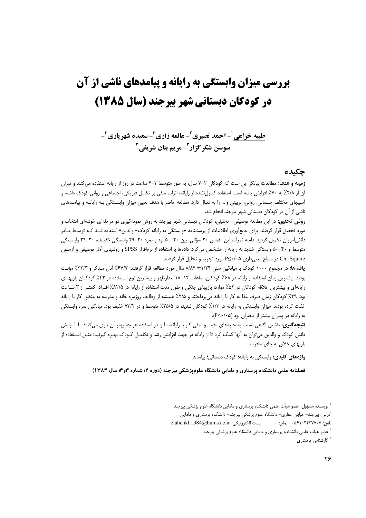# **بررسی میزان وابستگی به رایانه و پیامدهای ناشی از آن** در کودکان دیستانی شهر پیرجند (سال ۱۳۸۵)

طیبه خزاعی '- احمد نصیری '- عالمه زاری "- سعیده شهر یاری "-سوسن شکر گزار - مریم بنان شریفی آ

## جكىدە

**زمینه و هدف:** مطالعات بیانگر این است که کودکان ۲–۷ سال، به طور متوسط ۳–۴ ساعت در روز از رایانه استفاده می کنند و میزان آن از ۴/۸٪ به ۷۰٪ افزایش یافته است. استفاده کنترلنشده از رایانه، اثرات منفی بر تکامل فیزیکی، اجتماعی و روانی کودک داشته و آسیبهای مختلف جسمانی، روانی، تربیتی و … را به دنبال دارد. مطالعه حاضر با هدف تعیین میزان وابـستگی بـه رایانـه و پیامـدهای ناشی از آن در کودکان دبستانی شهر بیرجند انجام شد.

**روش تحقیق:** در این مطالعه توصیفی– تحلیلی، کودکان دبستانی شهر بیرجند به روش نمونهگیری دو مرحلهای خوشهای انتخاب و مورد تحقیق قرار گرفتند. برای جمعآوری اطلاعات از پرسشنامه «وابستگی به رایانه کودک– والدین» استفاده شـد کـه توسـط مـادر دانش[موزان تكمیل گردید. دامنه نمرات این مقیاس ۲۰ سؤالی، بین ۲۰–۵۰ بود و نمره ۲۰–۲۹ وابستگی خفیـف، ۳۰–۳۹ وابـستگی متوسط و ۴۰–۵۰ وابستگی شدید به رایانه را مشخص میکرد. دادهها با استفاده از نرمافزار SPSS و روشهای آمار توصیفی و آزمـون Chi-Square در سطح معنىدارى P≤٠/٠۵ مورد تجزيه و تحليل قرار گرفتند.

**یافتهها:** در مجموع ۱۰۰۰ کودک با میانگین سنی ۱/۲۴± ۸/۸۴ سال مورد مطالعه قرار گرفتند؛ ۶۷/۲٪ آنان مـذکر و ۳/۲۳٪ مؤنث بودند. بیشترین زمان استفاده از رایانه در ۶۸٪ کودکان، ساعات ۱۲–۱۸ بعدازظهر و بیشترین نوع اسـتفاده در ۴۲٪ کودکـان بازیهـای رایانهای و بیشترین علاقه کودکان در ۵۲٪ موارد، بازیهای جنگی و طول مدت استفاده از رایانه در ۲۵٪٪ اف راد، کمت راز ۳ ساعت بود. ۳۹٪ کودکان زمان صرف غذا به کار با رایانه میپرداختند و ۲/۵٪ همیشه از وظایف روزمره خانه و مدرسه به منظور کار با رایانه غفلت کرده بودند. میزان وابستگی به رایانه در ۱/۳٪ کودکان شدید، در ۲۵/۵٪ متوسط و در ۷۳/۲ خفیف بود. میانگین نمره وابستگی به رایانه در پسران بیشتر از دختران بود (P<۰/۰۵).

**نتیجه تیری:** داشتن آگاهی نسبت به جنبههای مثبت و منفی کار با رایانه، ما را در استفاده هر چه بهتر آن یاری میکند؛ بـا افــزایش دانش کودک و والدین می توان به آنها کمک کرد تا از رایانه در جهت افزایش رشد و تکامـل کـودک بهـره گیرنـد؛ مثـل اسـتفاده از بازیهای خلاق به جای مخرب.

واژههای کلیدی: وابستگی به رایانه؛ کودک دبستانی؛ پیامدها

فصلنامه علمی دانشکده پرستاری و مامایی دانشگاه علومیزشکی بیرجند (دوره ۲؛ شماره ۶۳-"؛ سال ۱۳۸۴)

نویسنده مسؤول؛ عضو هیأت علمی دانشکده پرستاری و مامایی دانشگاه علوم پزشکی بیرجند

آدرس: بیرجند– خیابان غفاری– دانشگاه علوم پزشکی بیرجند– دانشکده پرستاری و مامایی

elahehkh1384@bums.ac.ir پست الكترونيكي: elahehkh1384@ تلفن: ۴۴۳۷۷۰۷-۶۱–۵۶۱ نمایر: –

<sup>&</sup>lt;sup>۲</sup> عضو هیأت علمی دانشکده پرستاری و مامایی دانشگاه علوم پزشکی بیرجند

<sup>&</sup>lt;sup>۳</sup> کارشناس پرستاری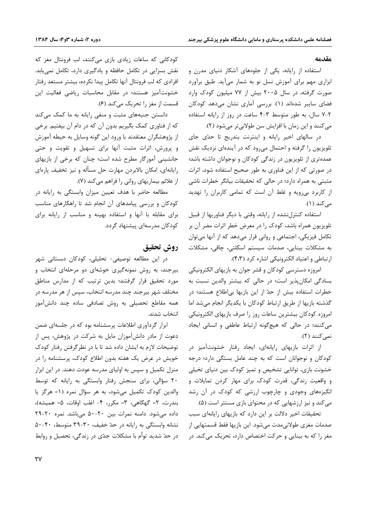#### مقدمه

استفاده از رایانه، یکی از جلوههای آشکار دنیای مدرن و ابزاری مهم برای آموزش نسل نو به شمار میآید. طبق برآورد صورت گرفته، در سال ۲۰۰۵ بیش از ۷۷ میلیون کودک وارد فضای سایبر شدهاند (۱). بررسی آماری نشان میدهد کودکان ۲-۷ سال، به طور متوسط ۳-۴ ساعت در روز از رایانه استفاده می کنند و این زمان با افزایش سن طولانیتر میشود (۲).

در سالهای اخیر رایانه و اینترنت بتدریج تا حدّی جای تلویزیون را گرفته و احتمال میرود که در آیندهای نزدیک نقش عمده تری از تلویزیون در زندگی کودکان و نوجوانان داشته باشد؛ در صورتی که از این فناوری به طور صحیح استفاده شود، اثرات مثبتی به همراه دارد؛ در حالی که تحقیقات بیانگر خطرات ناشی از کاربرد بی رویه و غلط آن است که تمامی کاربران را تهدید می کند (۱).

استفاده كنترل نشده از رايانه، وقتى با ديگر فناوريها از قبيل تلویزیون همراه باشد، کودک را در معرض خطر اثرات مضر آن بر تکامل فیزیکی، اجتماعی و روانی قرار میدهد که از آنها میتوان به مشکلات بینایی، صدمات سیستم اسکلتی، چاقی، مشکلات ارتباطی و اعتیاد الکترونیکی اشاره کرد (۴،۳).

امروزه دسترسی کودکان و قشر جوان به بازیهای الکترونیکی بسادگی امکان پذیر است؛ در حالی که بیشتر والدین نسبت به خطرات استفاده بیش از حدّ از این بازیها بی|طلاع هستند؛ در گذشته بازیها از طریق ارتباط کودکان با یکدیگر انجام میشد اما امروزه كودكان بيشترين ساعات روز را صرف بازيهاى الكترونيكي می کنند؛ در حالی که هیچگونه ارتباط عاطفی و انسانی ایجاد نمي كنند (٢).

از اثرات بازیهای رایانهای، ایجاد رفتار خشونتآمیز در کودکان و نوجوانان است که به چند عامل بستگی دارد؛ درجه خشونت بازی، توانایی تشخیص و تمیز کودک بین دنیای تخیلی و واقعیت زندگی، قدرت کودک برای مهار کردن تمایلات و انگیزههای وجودی و چارچوب ارزشی که کودک در آن رشد می کند و نیز ارزشهایی که در محتوای بازی مستتر است (۵).

تحقیقات اخیر دلالت بر این دارد که بازیهای رایانهای سبب صدمات مغزی طولانی،مدت میشود. این بازیها فقط قسمتهایی از مغز را که به بینایی و حرکت اختصاص دارد، تحریک می کند. در

کودکانی که ساعات زیادی بازی میکنند، لب فرونتال مغز که نقش بسزایی در تکامل حافظه و یادگیری دارد، تکامل نمی یابد. افرادی که لب فرونتال آنها تکامل پیدا نکرده، بیشتر مستعد رفتار خشونت آمیز هستند؛ در مقابل محاسبات ریاضی فعالیت این قسمت از مغز را تحریک میکند (۶).

دانستن جنبههای مثبت و منفی رایانه به ما کمک میکند که از فناوری کمک بگیریم بدون آن که در دام آن بیفتیم. برخی از پژوهشگران معتقدند با ورود این گونه وسایل به حیطه آموزش و پرورش، اثرات مثبت آنها برای تسهیل و تقویت و حتی جانشینی آموزگار مطرح شده است؛ چنان که برخی از بازیهای رایانهای، امکان بالابردن مهارت حل مسأله و نیز تخفیف پارهای از علائم بیماریهای روانی را فراهم می کند (۷).

مطالعه حاضر با هدف تعیین میزان وابستگی به رایانه در کودکان و بررسی پیامدهای آن انجام شد تا راهکارهای مناسب برای مقابله با آنها و استفاده بهینه و مناسب از رایانه برای کودکان مدرسهای پیشنهاد گردد.

## روش تحقيق

در این مطالعه توصیفی- تحلیلی، کودکان دبستانی شهر بیرجند، به روش نمونهگیری خوشهای دو مرحلهای انتخاب و مورد تحقیق قرار گرفتند؛ بدین ترتیب که از مدارس مناطق مختلف شهر بیرجند چند مدرسه انتخاب، سپس از هر مدرسه در همه مقاطع تحصیلی به روش تصادفی ساده چند دانشآموز انتخاب شدند.

ابزار گردآوری اطلاعات پرسشنامه بود که در جلسهای ضمن دعوت از مادر دانشآموزان مایل به شرکت در پژوهش، پس از توضیحات لازم به ایشان داده شد تا با در نظر گرفتن رفتار کودک خویش در عرض یک هفته بدون اطلاع کودک، پرسشنامه را در منزل تکمیل و سپس به اولیای مدرسه عودت دهند. در این ابزار ٢٠ سؤالي، براي سنجش رفتار وابستگي به رايانه كه توسط والدین کودک تکمیل میشود، به هر سؤال نمره (۱= هرگز یا بندرت، ٢= گهگاهي، ٣= مكرر، ۴- اغلب اوقات، ۵= هميشه)، داده می شود. دامنه نمرات بین ۲۰-۵۰ می باشد. نمره ۲۰-۲۹ نشانه وابستگی به رایانه در حدّ خفیف، ٣٠-٣٩ متوسط، ۴٠-۵۰ در حدّ شدید توأم با مشکلات جدّی در زندگی، تحصیل و روابط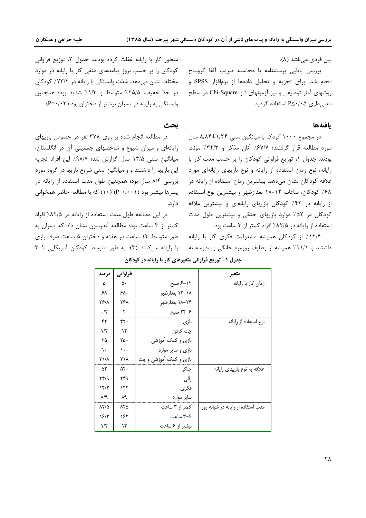بین فردی می باشد (۸).

بررسی پایایی پرسشنامه با محاسبه ضریب ألفا کرونباخ انجام شد. برای تجزیه و تحلیل دادهها از نرمافزار SPSS و روشهای آمار توصیفی و نیز آزمونهای t و Chi-Square در سطح معنىدارى 9⁄2۰/۰۵ استفاده گرديد.

#### **يافتهها**

در مجموع ۱۰۰۰ کودک با میانگین سنی ۱/۲۴±۸/۸۴ سال مورد مطالعه قرار گرفتند؛ ۶۷/۷٪ آنان مذکر و ۳۲/۳٪ مؤنث ودند. جدول ۰۱ توزیع فراوانی کودکان را بر حسب مدت کار با į رایانه، نوع زمان استفاده از رایانه و نوع بازیهای رایانهای مورد علاقه کودکان نشان میدهد. بیشترین زمان استفاده از رایانه در ۶۸٪ کودکان، ساعات ۱۲–۱۸ بعدازظهر و بیشترین نوع استفاده از رایانه در ۴۲٪ کودکان بازیهای رایانهای و بیشترین علاقه کودکان در ۵۲٪ موارد بازیهای جنگی و بیشترین طول مدت استفاده از رایانه در ۸۲/۵٪ افراد کمتر از ۳ ساعت بود.

۱۲/۴٪ از کودکان همیشه مشغولیت فکری کار با رایانه داشتند و ۱۱/۱٪ همیشه از وظایف روزمره خانگی و مدرسه به

منظور کار با رایانه غفلت کرده بودند. جدول ۲، توزیع فراوانی کودکان را بر حسب بروز پیامدهای منفی کار با رایانه در موارد مختلف نشان میدهد. شدّت وابستگی با رایانه در ۷۳/۲٪ کودکان در حدّ خفیف، ۲۵/۵٪ متوسط و ۱/۳٪ شدید بود؛ همچنین وابستگی به رایانه در پسران بیشتر از دختران بود (P=۰/۰۳).

## **بحث**

در مطالعه انجام شده بر روی ۳۷۸ نفر در خصوص بازیهای رایانهای و میزان شیوع و شاخصهای جمعیتی آن در انگلستان، میانگین سنی ۱۳/۵ سال گزارش شد؛ ۹۸/۷٪ این افراد تجربه ین بازیها را داشتند و و میانگین سنی شروع بازیها در گروه مورد  $\overline{\phantom{a}}$ بررسی ۸/۴ سال بود؛ همچنین طول مدت استفاده از رایانه در پسرها بیشتر بود (۱۰۰۱-P) (۱۰) که با مطالعه حاضر همخوانی دار د.

در این مطالعه طول مدت استفاده از رایانه در ۸۲/۵٪ افراد کمتر از ۳ ساعت بود؛ مطالعه آندرسون نشان داد که پسران به طور متوسط ۱۳ ساعت در هفته و دختران ۵ ساعت صرف بازی با رایانه میکنند (۳)؛ به طور متوسط کودکان آمریکایی ۱–۳

| درصد                      | فراواني   |                        | متغير                              |
|---------------------------|-----------|------------------------|------------------------------------|
| ۵                         | ۵۰        | ۶-۱۲ صبح               | زمان كار با رايانه                 |
| ۶۸                        | ۶۸۰       | ١٨–١٢ بعدازظهر         |                                    |
| ۲۶۱۸                      | ۲۶۸       | ۲۴–۱۸ بعدازظهر         |                                    |
| $\cdot/\tau$              | ۲         | ۳۴-۶ صبح               |                                    |
| ۴۲                        | ۴۲۰       | بازی                   | نوع استفاده از رایانه              |
| $1/\tau$                  | $\lambda$ | چت کردن                |                                    |
| ۲۵                        | ۲۵۰       | بازی و کمک آموزشی      |                                    |
| ١.                        | $\cdots$  | بازی و سایر موارد      |                                    |
| ۲۱/۸                      | ۲۱۸       | بازی و کمک آموزشی و چت |                                    |
| ۵۲                        | ۵۲۰       | جنگی                   | علاقه به نوع بازیهای رایانه        |
| $\mathcal{N}^{\star}$     | ۲۴۹       | رالى                   |                                    |
| 15/7                      | ۱۴۲       | فكرى                   |                                    |
| $\lambda/\gamma$          | ٨٩        | سایر موارد             |                                    |
| $\lambda \Upsilon/\Delta$ | ۸۲۵       | کمتر از ۳ ساعت         | مدت استفاده از رایانه در شبانه روز |
| $\frac{5}{4}$             | ۱۶۳       | ۳-۶ ساعت               |                                    |
| $1/\zeta$                 | ۱۲        | بیشتر از ۶ ساعت        |                                    |

جدول ۱- توزیع فراوانی متغیرهای کار با رایانه در کودکان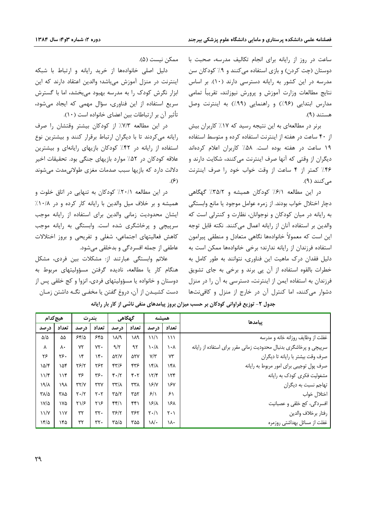ساعت در روز از رایانه برای انجام تکالیف مدرسه، صحبت با دوستان (چت کردن) و بازی استفاده می کنند و ۹٪ کودکان سن مدرسه در این کشور به رایانه دسترسی دارند (۱۰). بر اساس نتايج مطالعات وزارت آموزش و پرورش نيوزلند، تقريباً تمامى مدارس ابتدایی (۹۶٪) و راهنمایی (۹۹٪) به اینترنت وصل هستند (۹).

برنر در مطالعهای به این نتیجه رسید که ۱۷٪ کاربران بیش از ۴۰ ساعت در هفته از اینترنت استفاده کرده و متوسط استفاده ۱۹ ساعت در هفته بوده است. ۵۸٪ کاربران اعلام کردهاند دیگران از وقتی که آنها صرف اینترنت میکنند، شکایت دارند و ۴۶٪ کمتر از ۴ ساعت از وقت خواب خود را صرف اینترنت مے کنند (۹).

در این مطالعه ۶/۱٪ کودکان همیشه و ۳۵/۲٪ گهگاهی دچار اختلال خواب بودند. از زمره عوامل موجود یا مانع وابستگی به رایانه در میان کودکان و نوجوانان، نظارت و کنترلی است که والدين بر استفاده آنان از رايانه اعمال مي كنند. نكته قابل توجه این است که معمولاً خانوادهها نگاهی متعادل و منطقی پیرامون استفاده فرزندان از رايانه ندارند؛ برخى خانوادهها ممكن است به دلیل فقدان درک ماهیت این فناوری، نتوانند به طور کامل به خطرات بالقوه استفاده از آن پی برند و برخی به جای تشویق فرزندان به استفاده ایمن از اینترنت، دسترسی به آن را در منزل دشوار میکنند، اما کنترل آن در خارج از منزل و کافینتها

ممكن نيست (۵).

دلیل اصلی خانوادهها از خرید رایانه و ارتباط با شبکه اینترنت در منزل آموزش میباشد؛ والدین اعتقاد دارند که این ابزار نگرش کودک را به مدرسه بهبود میبخشد، اما با گسترش سریع استفاده از این فناوری، سؤال مهمی که ایجاد میشود، تأثير آن بر ارتباطات بين اعضاي خانواده است (١٠).

در این مطالعه ٧/٣٪ از کودکان بیشتر وقتشان را صرف رایانه میکردند تا با دیگران ارتباط برقرار کنند و بیشترین نوع استفاده از رایانه در ۴۲٪ کودکان بازیهای رایانهای و بیشترین علاقه کودکان در ۵۲٪ موارد بازیهای جنگی بود. تحقیقات اخیر دلالت دارد که بازیها سبب صدمات مغزی طولانیمدت میشوند  $\mathcal{S}(\mathcal{F})$ 

در این مطالعه ٢٠/١٪ کودکان به تنهایی در اتاق خلوت و همیشه و بر خلاف میل والدین با رایانه کار کرده و در ۱۰/۸٪ ایشان محدودیت زمانی والدین برای استفاده از رایانه موجب سرپیچی و پرخاشگری شده است. وابستگی به رایانه موجب کاهش فعالیتهای اجتماعی، شغلی و تفریحی و بروز اختلالات عاطفي از جمله افسردگي و بدخلقي ميشود.

علائم وابستگی عبارتند از: مشکلات بین فردی، مشکل هنگام کار یا مطالعه، نادیده گرفتن مسؤولیتهای مربوط به دوستان و خانواده یا مسؤولیتهای فردی، انزوا و کج خلقی پس از دست کشیـدن از آن، دروغ گفتن یا مخفـی نگــه داشتن زمـان

| هيچ کدام             |       | بندرت                           |                | گھگاهی                    |       | همشه                            |                               | ىبامدها                                                            |
|----------------------|-------|---------------------------------|----------------|---------------------------|-------|---------------------------------|-------------------------------|--------------------------------------------------------------------|
| درصد                 | تعداد | درصد                            | تعداد          | درصد                      | تعداد | در صد                           | تعداد                         |                                                                    |
| $\Delta/\Delta$      | ۵۵    | 55/2                            | ۶۴۵            | ۱۸/۹                      | ١٨٩   | $\frac{1}{2}$                   | $\binom{1}{k}$                | غفلت از وظایف روزانه خانه و مدرسه                                  |
| ٨                    | ٨٠    | ٧٢                              | YY.            | 9/7                       | ۹۲    | ۰/۸                             | ۱۰۸                           | سرپیچی و پرخاشگری بدنبال محدودیت زمانی مقرر برای استفاده از رایانه |
| ۲۶                   | ٢۶٠   | ۱۴                              | $\mathcal{N}$  | $\Delta Y/Y$              | ۵۲۷   | Y/Y                             | ٧٣                            | صرف وقت بيشتر با رايانه تا ديگران                                  |
| ۱۵/۴                 | ١۵۴   | Y5/Y                            | ٢۶٢            | $\frac{8}{7}$             | ۴۳۶   | $\lambda$                       | ۱۴۸                           | صرف پول توجیبی برای امور مربوط به رایانه                           |
| $11/\mathfrak{r}$    | 116   | ۳۶                              | ٣۶٠            | $Y \cdot / Y$             | ۴۰۲   | 17/5                            | ۱۲۴                           | مشغولیت فکری کودک به رایانه                                        |
| $\lambda/\gamma$     | ١٩λ   | YY/Y                            | ٣٢٧            | $\frac{1}{\sqrt{7}}$      | ۳۳۸   | $\S$ /Y                         | ۱۶۷                           | تهاجم نسبت به دیگران                                               |
| $\sqrt{2}$           | ۳۸۵   | $\mathbf{Y} \cdot / \mathbf{Y}$ | ۲۰۲            | $\Gamma \Delta/\Upsilon$  | ۳۵۲   | 5/1                             | ۶۱                            | اختلال خواب                                                        |
| $V/\Delta$           | ١٧۵   | $\frac{1}{2}$                   | ۲۱۶            | f(f)                      | ۴۴۱   | $\Sigma/\lambda$                | ۱۶λ                           | افسردگی، کج خلقی و عصبانیت                                         |
| $\frac{1}{\sqrt{2}}$ | 11Y   | ٣٢                              | $\mathbf{r}$ . | $\mathbf{Y}$ $\mathbf{Y}$ | ٣۶٢   | $\mathsf{Y} \cdot / \mathsf{Y}$ | $\mathsf{Y} \cdot \mathsf{Y}$ | رفتار برخلاف والدين                                                |
| ۱۴/۵                 | ۱۴۵   | ٣٢                              | $\mathbf{r}$ . | ۳۵/۵                      | ۳۵۵   | $M \cdot$                       | ۱۸۰                           | غفلت از مسائل بهداشتی روزمره                                       |

جدول ۲- توزیع فراوانی کودکان بر حسب میزان بروز پیامدهای منفی ناشی از کار بار رایانه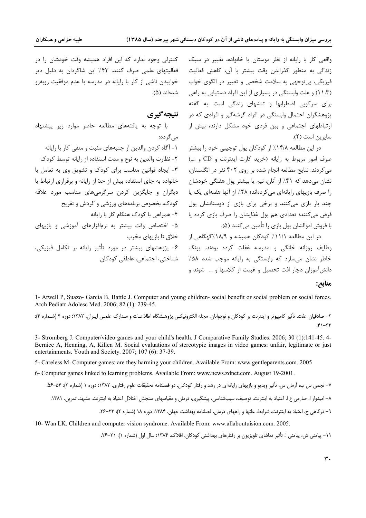واقعی کار با رایانه از نظر دوستان یا خانواده، تغییر در سبک زندگی به منظور گذراندن وقت بیشتر با آن، کاهش فعالیت فیزیکی، بیتوجهی به سلامت شخصی و تغییر در الگوی خواب (۱۱،۳) و علت وابستگی در بسیاری از این افراد دستیابی به راهی برای سرکوبی اضطرابها و تنشهای زندگی است. به گفته پژوهشگران احتمال وابستگی در افراد گوشهگیر و افرادی که در ارتباطهای اجتماعی و بین فردی خود مشکل دارند، بیش از سايرين است (٢).

در این مطالعه ۱۴/۸٪ از کودکان پول توجیبی خود را بیشتر صرف امور مربوط به رایانه (خرید کارت اینترنت و CD و ….) می کردند. نتایج مطالعه انجام شده بر روی ۴۰۲ نفر در انگلستان، نشان میدهد که ۴۱٪ از آنان، نیم یا بیشتر پول هفتگی خودشان را صرف بازیهای رایانهای میکردهاند؛ ۲۸٪ از آنها هفتهای یک یا چند بار بازی میکنند و برخی برای بازی از دوستانشان پول قرض میکنند؛ تعدادی هم پول غذایشان را صرف بازی کرده یا با فروش اموالشان پول بازی را تأمین می کنند (۵).

در این مطالعه ۱۱/۱٪ کودکان همیشه و ۱۸/۹٪گهگاهی از وظایف روزانه خانگی و مدرسه غفلت کرده بودند. یونگ خاطر نشان می سازد که وابستگی به رایانه موجب شده ۵۸٪ دانش آموزان دچار افت تحصیل و غیبت از کلاسها و … شوند و

کنترلی وجود ندارد که این افراد همیشه وقت خودشان را در فعالیتهای علمی صرف کنند. ۴۳٪ این شاگردان به دلیل دیر خوابیدن ناشی از کار با رایانه در مدرسه با عدم موفقیت روبهرو شدەاند (۵).

## نتيجه گيري

با توجه به یافتههای مطالعه حاضر موارد زیر پیشنهاد مے گردد: ١- آگاه كردن والدين از جنبههاي مثبت و منفي كار با رايانه ٢- نظارت والدين به نوع و مدت استفاده از رايانه توسط كودك ٣- ایجاد قوانین مناسب برای کودک و تشویق وی به تعامل با خانواده به جای استفاده بیش از حدّ از رایانه و برقراری ارتباط با دیگران و جایگزین کردن سرگرمیهای مناسب مورد علاقه کودک، بخصوص برنامههای ورزشی و گردش و تفریح ۴- همراهی با کودک هنگام کار با ,ایانه ۵- اختصاص وقت بیشتر به نرمافزارهای آموزشی و بازیهای خلاق تا بازيهاي مخرب ۶- پژوهشهای بیشتر در مورد تأثیر رایانه بر تکامل فیزیکی، شناختی، اجتماعی، عاطفی کودکان

### منابع:

1- Atwell P, Suazo- Garcia B, Battle J. Computer and young children- social benefit or social problem or social forces. Arch Pediatr Adolesc Med. 2006; 82 (1): 239-45.

۲– صادقیان عفت. تأثیر کامپیوتر و اینترنت بر کودکان و نوجوانان. مجله الکترونیکـی پژوهـشگاه اطلاعـات و مـدارک علمـی ایـران. ۱۳۸۲؛ دوره ۴ (شـماره ۴):  $f'' - f''$ 

3- Stromberg J. Computer/video games and your child's health. J Comparative Family Studies. 2006; 30 (1):141-45. 4-Bernice A, Henning, A, Killen M. Social evaluations of stereotypic images in video games: unfair, legitimate or just entertainments. Youth and Society. 2007; 107 (6): 37-39.

5- Careless M. Computer games: are they harming your children. Available From: www.gentleparents.com. 2005

6- Computer games linked to learning problems. Available From: www.news.zdnet.com. August 19-2001.

۷– نجمی س ب، آرمان س. تأثیر ویدیو و بازیهای رایانهای در رشد و رفتار کودکان. دو فصلنامه تحقیقات علوم رفتاری. ۱۳۸۲؛ دوره ۱ (شماره ۲): ۵۶–۵۶. ۸– امیدوار ا، صارمی ع ا. اعتیاد به اینترنت. توصیف، سببشناسی، پیشگیری، درمان و مقیاسهای سنجش اختلال اعتیاد به اینترنت. مشهد. تمرین. ۱۳۸۱. ۹– درگاهی ح. اعتیاد به اینترنت، شرایط، علتها و راههای درمان. فصلنامه بهداشت جهان. ۱۳۸۴: دوره ۱۸ (شماره ۲): ۲۳–۲۶.

10- Wan LK. Children and computer vision syndrome. Available From: www.allaboutuision.com. 2005.